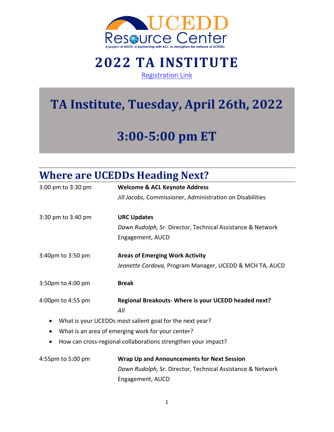

#### **2022 TA INSTITUTE** [Registration Link](https://zoom.us/meeting/register/tJUocuytrT0pHNB3IeMnIyFgJsVnhnkMflSH)

# **TA Institute, Tuesday, April 26th, 2022**

# **3:00-5:00 pm ET**

#### **Where are UCEDDs Heading Next?**

| 3:00 pm to 3:30 pm | <b>Welcome &amp; ACL Keynote Address</b>                      |
|--------------------|---------------------------------------------------------------|
|                    | Jill Jacobs, Commissioner, Administration on Disabilities     |
| 3:30 pm to 3:40 pm | <b>URC Updates</b>                                            |
|                    | Dawn Rudolph, Sr. Director, Technical Assistance & Network    |
|                    | Engagement, AUCD                                              |
| 3:40pm to 3:50 pm  | <b>Areas of Emerging Work Activity</b>                        |
|                    | Jeanette Cordova, Program Manager, UCEDD & MCH TA, AUCD       |
| 3:50pm to 4:00 pm  | <b>Break</b>                                                  |
| 4:00pm to 4:55 pm  | Regional Breakouts- Where is your UCEDD headed next?<br>All   |
|                    | What is your UCEDDs most salient goal for the next year?      |
|                    | What is an area of emerging work for your center?             |
|                    | How can cross-regional collaborations strengthen your impact? |
| 4:55pm to 5:00 pm  | <b>Wrap Up and Announcements for Next Session</b>             |
|                    | Dawn Rudolph, Sr. Director, Technical Assistance & Network    |
|                    | Engagement, AUCD                                              |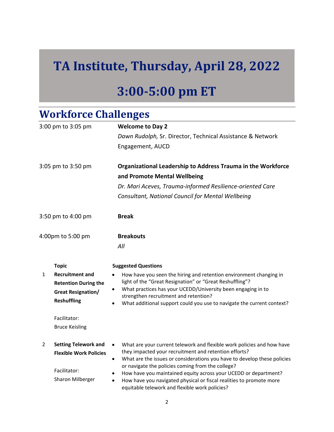## **TA Institute, Thursday, April 28, 2022**

## **3:00-5:00 pm ET**

#### **Workforce Challenges**

|                    | 3:00 pm to 3:05 pm            | <b>Welcome to Day 2</b>                                                                                                                        |
|--------------------|-------------------------------|------------------------------------------------------------------------------------------------------------------------------------------------|
|                    |                               | Dawn Rudolph, Sr. Director, Technical Assistance & Network                                                                                     |
|                    |                               | Engagement, AUCD                                                                                                                               |
| 3:05 pm to 3:50 pm |                               | Organizational Leadership to Address Trauma in the Workforce                                                                                   |
|                    |                               | and Promote Mental Wellbeing                                                                                                                   |
|                    |                               | Dr. Mari Aceves, Trauma-informed Resilience-oriented Care                                                                                      |
|                    |                               | Consultant, National Council for Mental Wellbeing                                                                                              |
|                    | 3:50 pm to 4:00 pm            | <b>Break</b>                                                                                                                                   |
| 4:00pm to 5:00 pm  |                               | <b>Breakouts</b>                                                                                                                               |
|                    |                               | All                                                                                                                                            |
|                    | <b>Topic</b>                  | <b>Suggested Questions</b>                                                                                                                     |
| $\mathbf{1}$       | <b>Recruitment and</b>        | How have you seen the hiring and retention environment changing in                                                                             |
|                    | <b>Retention During the</b>   | light of the "Great Resignation" or "Great Reshuffling"?<br>What practices has your UCEDD/University been engaging in to                       |
|                    | <b>Great Resignation/</b>     | strengthen recruitment and retention?                                                                                                          |
|                    | <b>Reshuffling</b>            | What additional support could you use to navigate the current context?<br>$\bullet$                                                            |
|                    | Facilitator:                  |                                                                                                                                                |
|                    | <b>Bruce Keisling</b>         |                                                                                                                                                |
| $\overline{2}$     | <b>Setting Telework and</b>   | What are your current telework and flexible work policies and how have                                                                         |
|                    | <b>Flexible Work Policies</b> | they impacted your recruitment and retention efforts?<br>What are the issues or considerations you have to develop these policies<br>$\bullet$ |
|                    |                               | or navigate the policies coming from the college?                                                                                              |
|                    | Facilitator:                  | How have you maintained equity across your UCEDD or department?                                                                                |
|                    | Sharon Milberger              | How have you navigated physical or fiscal realities to promote more<br>equitable telework and flexible work policies?                          |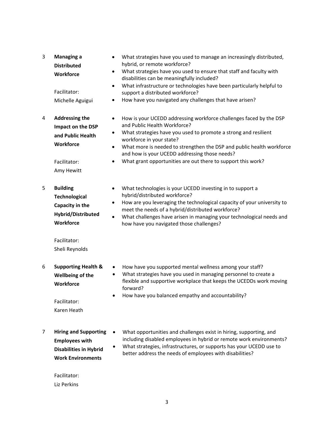| 3 | <b>Managing a</b><br><b>Distributed</b><br>Workforce<br>Facilitator:<br>Michelle Aguigui                                        | What strategies have you used to manage an increasingly distributed,<br>٠<br>hybrid, or remote workforce?<br>What strategies have you used to ensure that staff and faculty with<br>$\bullet$<br>disabilities can be meaningfully included?<br>What infrastructure or technologies have been particularly helpful to<br>$\bullet$<br>support a distributed workforce?<br>How have you navigated any challenges that have arisen?<br>٠   |
|---|---------------------------------------------------------------------------------------------------------------------------------|-----------------------------------------------------------------------------------------------------------------------------------------------------------------------------------------------------------------------------------------------------------------------------------------------------------------------------------------------------------------------------------------------------------------------------------------|
| 4 | <b>Addressing the</b><br>Impact on the DSP<br>and Public Health<br>Workforce<br>Facilitator:<br>Amy Hewitt                      | How is your UCEDD addressing workforce challenges faced by the DSP<br>$\bullet$<br>and Public Health Workforce?<br>What strategies have you used to promote a strong and resilient<br>$\bullet$<br>workforce in your state?<br>What more is needed to strengthen the DSP and public health workforce<br>$\bullet$<br>and how is your UCEDD addressing those needs?<br>What grant opportunities are out there to support this work?<br>٠ |
| 5 | <b>Building</b><br><b>Technological</b><br>Capacity in the<br>Hybrid/Distributed<br>Workforce<br>Facilitator:<br>Sheli Reynolds | What technologies is your UCEDD investing in to support a<br>$\bullet$<br>hybrid/distributed workforce?<br>How are you leveraging the technological capacity of your university to<br>$\bullet$<br>meet the needs of a hybrid/distributed workforce?<br>What challenges have arisen in managing your technological needs and<br>$\bullet$<br>how have you navigated those challenges?                                                   |
| 6 | <b>Supporting Health &amp;</b><br>Wellbeing of the<br>Workforce<br>Facilitator:<br>Karen Heath                                  | How have you supported mental wellness among your staff?<br>$\bullet$<br>What strategies have you used in managing personnel to create a<br>$\bullet$<br>flexible and supportive workplace that keeps the UCEDDs work moving<br>forward?<br>How have you balanced empathy and accountability?<br>٠                                                                                                                                      |
| 7 | <b>Hiring and Supporting</b><br><b>Employees with</b><br><b>Disabilities in Hybrid</b><br><b>Work Environments</b>              | What opportunities and challenges exist in hiring, supporting, and<br>including disabled employees in hybrid or remote work environments?<br>What strategies, infrastructures, or supports has your UCEDD use to<br>better address the needs of employees with disabilities?                                                                                                                                                            |

Facilitator: Liz Perkins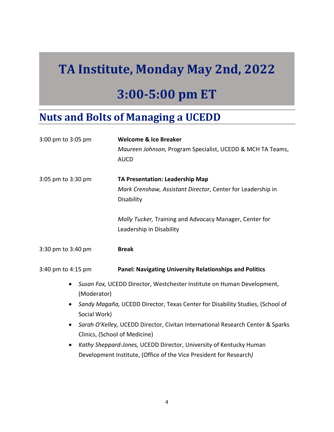# **TA Institute, Monday May 2nd, 2022**

### **3:00-5:00 pm ET**

### **Nuts and Bolts of Managing a UCEDD**

| 3:00 pm to 3:05 pm        | <b>Welcome &amp; Ice Breaker</b><br>Maureen Johnson, Program Specialist, UCEDD & MCH TA Teams,<br><b>AUCD</b>                                                                                                 |  |
|---------------------------|---------------------------------------------------------------------------------------------------------------------------------------------------------------------------------------------------------------|--|
| 3:05 pm to 3:30 pm        | TA Presentation: Leadership Map<br>Mark Crenshaw, Assistant Director, Center for Leadership in<br>Disability                                                                                                  |  |
|                           | Molly Tucker, Training and Advocacy Manager, Center for<br>Leadership in Disability                                                                                                                           |  |
| 3:30 pm to 3:40 pm        | <b>Break</b>                                                                                                                                                                                                  |  |
| 3:40 pm to 4:15 pm        | <b>Panel: Navigating University Relationships and Politics</b>                                                                                                                                                |  |
| (Moderator)               | Susan Fox, UCEDD Director, Westchester Institute on Human Development,                                                                                                                                        |  |
| $\bullet$<br>Social Work) | Sandy Magaña, UCEDD Director, Texas Center for Disability Studies, (School of<br>Sarah O'Kelley, UCEDD Director, Civitan International Research Center & Sparks<br>$\bullet$<br>Clinics, (School of Medicine) |  |
|                           |                                                                                                                                                                                                               |  |
| $\bullet$                 | Kathy Sheppard-Jones, UCEDD Director, University of Kentucky Human                                                                                                                                            |  |
|                           | Development Institute, (Office of the Vice President for Research)                                                                                                                                            |  |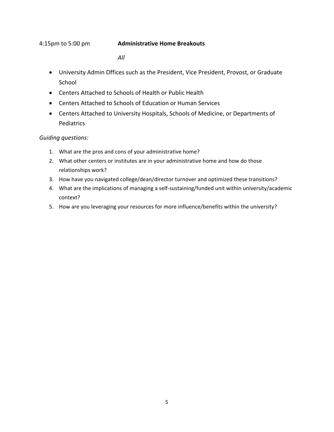#### 4:15pm to 5:00 pm **Administrative Home Breakouts**

*All*

- University Admin Offices such as the President, Vice President, Provost, or Graduate School
- Centers Attached to Schools of Health or Public Health
- Centers Attached to Schools of Education or Human Services
- Centers Attached to University Hospitals, Schools of Medicine, or Departments of Pediatrics

#### *Guiding questions:*

- 1. What are the pros and cons of your administrative home?
- 2. What other centers or institutes are in your administrative home and how do those relationships work?
- 3. How have you navigated college/dean/director turnover and optimized these transitions?
- 4. What are the implications of managing a self-sustaining/funded unit within university/academic context?
- 5. How are you leveraging your resources for more influence/benefits within the university?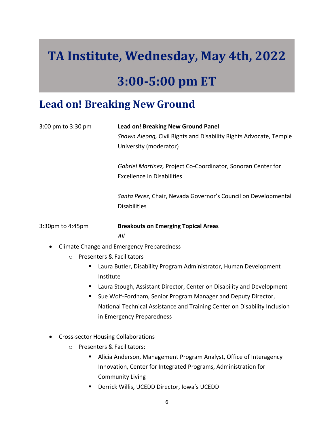# **TA Institute, Wednesday, May 4th, 2022**

### **3:00-5:00 pm ET**

#### **Lead on! Breaking New Ground**

| 3:00 pm to 3:30 pm                              | <b>Lead on! Breaking New Ground Panel</b><br>Shawn Aleong, Civil Rights and Disability Rights Advocate, Temple<br>University (moderator) |
|-------------------------------------------------|------------------------------------------------------------------------------------------------------------------------------------------|
|                                                 | Gabriel Martinez, Project Co-Coordinator, Sonoran Center for<br><b>Excellence in Disabilities</b>                                        |
|                                                 | Santa Perez, Chair, Nevada Governor's Council on Developmental<br><b>Disabilities</b>                                                    |
| 3:30pm to 4:45pm                                | <b>Breakouts on Emerging Topical Areas</b>                                                                                               |
|                                                 | All                                                                                                                                      |
| $\bullet$                                       | Climate Change and Emergency Preparedness                                                                                                |
| <b>Presenters &amp; Facilitators</b><br>$\circ$ |                                                                                                                                          |
| п                                               | Laura Butler, Disability Program Administrator, Human Development                                                                        |
| Institute                                       |                                                                                                                                          |
| ш                                               | Laura Stough, Assistant Director, Center on Disability and Development                                                                   |
|                                                 | Sue Wolf-Fordham, Senior Program Manager and Deputy Director,                                                                            |

- National Technical Assistance and Training Center on Disability Inclusion in Emergency Preparedness
- Cross-sector Housing Collaborations
	- o Presenters & Facilitators:
		- Alicia Anderson, Management Program Analyst, Office of Interagency Innovation, Center for Integrated Programs, Administration for Community Living
		- Derrick Willis, UCEDD Director, Iowa's UCEDD